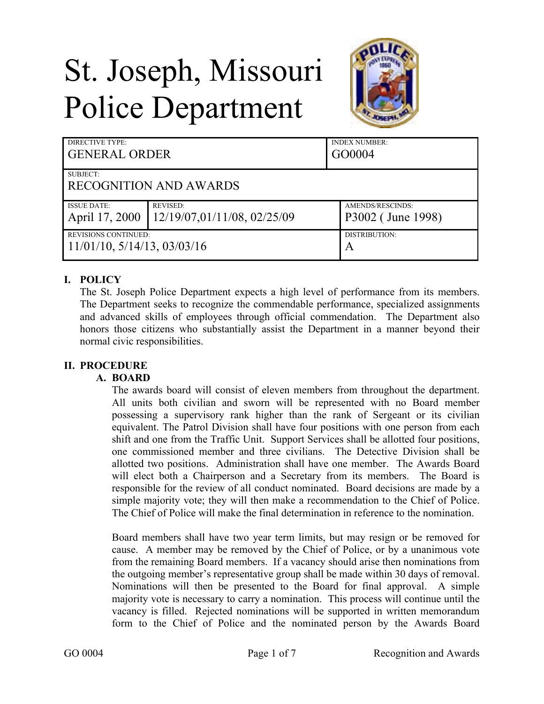# St. Joseph, Missouri Police Department



| DIRECTIVE TYPE:                           |                             | <b>INDEX NUMBER:</b> |
|-------------------------------------------|-----------------------------|----------------------|
| <b>GENERAL ORDER</b>                      |                             | GO0004               |
| SUBJECT:<br><b>RECOGNITION AND AWARDS</b> |                             |                      |
| <b>ISSUE DATE:</b>                        | <b>REVISED:</b>             | AMENDS/RESCINDS:     |
| April 17, 2000                            | 12/19/07,01/11/08, 02/25/09 | P3002 (June 1998)    |
| <b>REVISIONS CONTINUED:</b>               |                             | DISTRIBUTION:        |
| $11/01/10$ , $5/14/13$ , $03/03/16$       |                             | A                    |

# **I. POLICY**

The St. Joseph Police Department expects a high level of performance from its members. The Department seeks to recognize the commendable performance, specialized assignments and advanced skills of employees through official commendation. The Department also honors those citizens who substantially assist the Department in a manner beyond their normal civic responsibilities.

#### **II. PROCEDURE**

#### **A. BOARD**

The awards board will consist of eleven members from throughout the department. All units both civilian and sworn will be represented with no Board member possessing a supervisory rank higher than the rank of Sergeant or its civilian equivalent. The Patrol Division shall have four positions with one person from each shift and one from the Traffic Unit. Support Services shall be allotted four positions, one commissioned member and three civilians. The Detective Division shall be allotted two positions. Administration shall have one member. The Awards Board will elect both a Chairperson and a Secretary from its members. The Board is responsible for the review of all conduct nominated. Board decisions are made by a simple majority vote; they will then make a recommendation to the Chief of Police. The Chief of Police will make the final determination in reference to the nomination.

Board members shall have two year term limits, but may resign or be removed for cause. A member may be removed by the Chief of Police, or by a unanimous vote from the remaining Board members. If a vacancy should arise then nominations from the outgoing member's representative group shall be made within 30 days of removal. Nominations will then be presented to the Board for final approval. A simple majority vote is necessary to carry a nomination. This process will continue until the vacancy is filled. Rejected nominations will be supported in written memorandum form to the Chief of Police and the nominated person by the Awards Board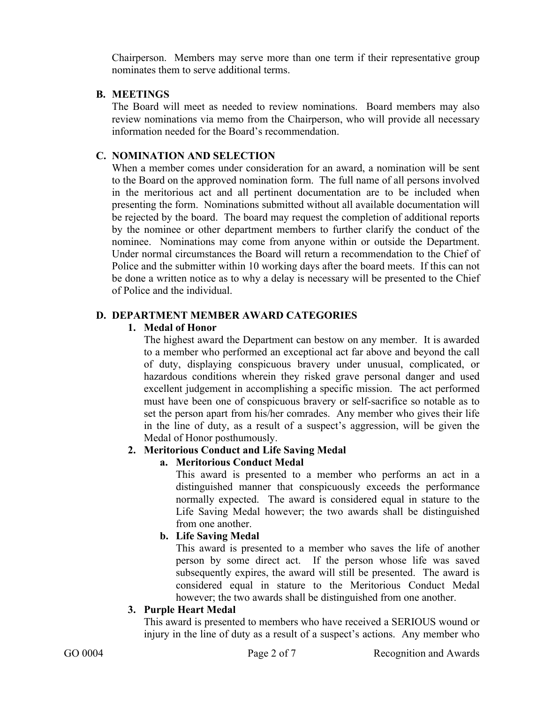Chairperson. Members may serve more than one term if their representative group nominates them to serve additional terms.

#### **B. MEETINGS**

The Board will meet as needed to review nominations. Board members may also review nominations via memo from the Chairperson, who will provide all necessary information needed for the Board's recommendation.

## **C. NOMINATION AND SELECTION**

When a member comes under consideration for an award, a nomination will be sent to the Board on the approved nomination form. The full name of all persons involved in the meritorious act and all pertinent documentation are to be included when presenting the form. Nominations submitted without all available documentation will be rejected by the board. The board may request the completion of additional reports by the nominee or other department members to further clarify the conduct of the nominee. Nominations may come from anyone within or outside the Department. Under normal circumstances the Board will return a recommendation to the Chief of Police and the submitter within 10 working days after the board meets. If this can not be done a written notice as to why a delay is necessary will be presented to the Chief of Police and the individual.

## **D. DEPARTMENT MEMBER AWARD CATEGORIES**

## **1. Medal of Honor**

The highest award the Department can bestow on any member. It is awarded to a member who performed an exceptional act far above and beyond the call of duty, displaying conspicuous bravery under unusual, complicated, or hazardous conditions wherein they risked grave personal danger and used excellent judgement in accomplishing a specific mission. The act performed must have been one of conspicuous bravery or self-sacrifice so notable as to set the person apart from his/her comrades. Any member who gives their life in the line of duty, as a result of a suspect's aggression, will be given the Medal of Honor posthumously.

# **2. Meritorious Conduct and Life Saving Medal**

# **a. Meritorious Conduct Medal**

This award is presented to a member who performs an act in a distinguished manner that conspicuously exceeds the performance normally expected. The award is considered equal in stature to the Life Saving Medal however; the two awards shall be distinguished from one another.

# **b. Life Saving Medal**

This award is presented to a member who saves the life of another person by some direct act. If the person whose life was saved subsequently expires, the award will still be presented. The award is considered equal in stature to the Meritorious Conduct Medal however; the two awards shall be distinguished from one another.

#### **3. Purple Heart Medal**

This award is presented to members who have received a SERIOUS wound or injury in the line of duty as a result of a suspect's actions. Any member who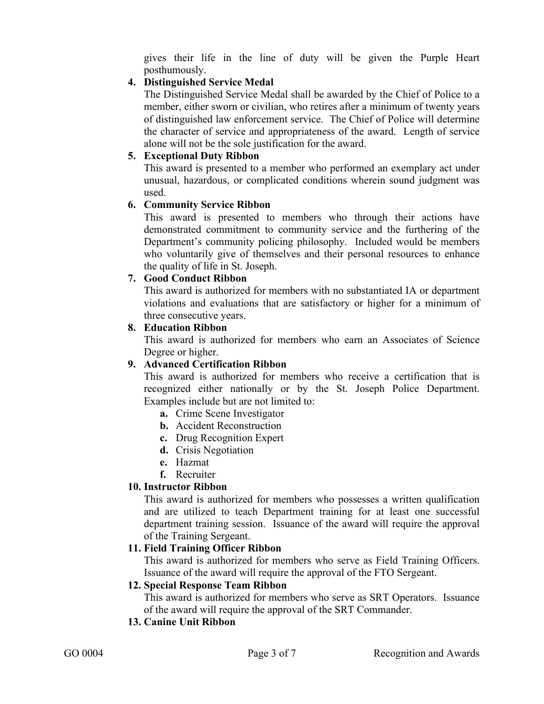gives their life in the line of duty will be given the Purple Heart posthumously.

## **4. Distinguished Service Medal**

The Distinguished Service Medal shall be awarded by the Chief of Police to a member, either sworn or civilian, who retires after a minimum of twenty years of distinguished law enforcement service. The Chief of Police will determine the character of service and appropriateness of the award. Length of service alone will not be the sole justification for the award.

# **5. Exceptional Duty Ribbon**

This award is presented to a member who performed an exemplary act under unusual, hazardous, or complicated conditions wherein sound judgment was used.

#### **6. Community Service Ribbon**

This award is presented to members who through their actions have demonstrated commitment to community service and the furthering of the Department's community policing philosophy. Included would be members who voluntarily give of themselves and their personal resources to enhance the quality of life in St. Joseph.

#### **7. Good Conduct Ribbon**

This award is authorized for members with no substantiated IA or department violations and evaluations that are satisfactory or higher for a minimum of three consecutive years.

#### **8. Education Ribbon**

This award is authorized for members who earn an Associates of Science Degree or higher.

#### **9. Advanced Certification Ribbon**

This award is authorized for members who receive a certification that is recognized either nationally or by the St. Joseph Police Department. Examples include but are not limited to:

- **a.** Crime Scene Investigator
- **b.** Accident Reconstruction
- **c.** Drug Recognition Expert
- **d.** Crisis Negotiation
- **e.** Hazmat
- **f.** Recruiter

# **10. Instructor Ribbon**

This award is authorized for members who possesses a written qualification and are utilized to teach Department training for at least one successful department training session. Issuance of the award will require the approval of the Training Sergeant.

#### **11. Field Training Officer Ribbon**

This award is authorized for members who serve as Field Training Officers. Issuance of the award will require the approval of the FTO Sergeant.

#### **12. Special Response Team Ribbon**

This award is authorized for members who serve as SRT Operators. Issuance of the award will require the approval of the SRT Commander.

# **13. Canine Unit Ribbon**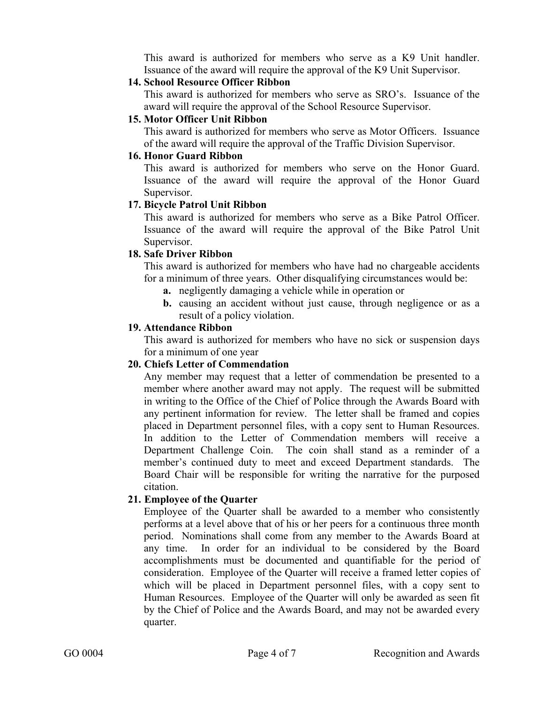This award is authorized for members who serve as a K9 Unit handler. Issuance of the award will require the approval of the K9 Unit Supervisor.

#### **14. School Resource Officer Ribbon**

This award is authorized for members who serve as SRO's. Issuance of the award will require the approval of the School Resource Supervisor.

## **15. Motor Officer Unit Ribbon**

This award is authorized for members who serve as Motor Officers. Issuance of the award will require the approval of the Traffic Division Supervisor.

#### **16. Honor Guard Ribbon**

This award is authorized for members who serve on the Honor Guard. Issuance of the award will require the approval of the Honor Guard Supervisor.

## **17. Bicycle Patrol Unit Ribbon**

This award is authorized for members who serve as a Bike Patrol Officer. Issuance of the award will require the approval of the Bike Patrol Unit Supervisor.

## **18. Safe Driver Ribbon**

This award is authorized for members who have had no chargeable accidents for a minimum of three years. Other disqualifying circumstances would be:

- **a.** negligently damaging a vehicle while in operation or
- **b.** causing an accident without just cause, through negligence or as a result of a policy violation.

## **19. Attendance Ribbon**

This award is authorized for members who have no sick or suspension days for a minimum of one year

#### **20. Chiefs Letter of Commendation**

Any member may request that a letter of commendation be presented to a member where another award may not apply. The request will be submitted in writing to the Office of the Chief of Police through the Awards Board with any pertinent information for review. The letter shall be framed and copies placed in Department personnel files, with a copy sent to Human Resources. In addition to the Letter of Commendation members will receive a Department Challenge Coin. The coin shall stand as a reminder of a member's continued duty to meet and exceed Department standards. The Board Chair will be responsible for writing the narrative for the purposed citation.

# **21. Employee of the Quarter**

Employee of the Quarter shall be awarded to a member who consistently performs at a level above that of his or her peers for a continuous three month period. Nominations shall come from any member to the Awards Board at any time. In order for an individual to be considered by the Board accomplishments must be documented and quantifiable for the period of consideration. Employee of the Quarter will receive a framed letter copies of which will be placed in Department personnel files, with a copy sent to Human Resources. Employee of the Quarter will only be awarded as seen fit by the Chief of Police and the Awards Board, and may not be awarded every quarter.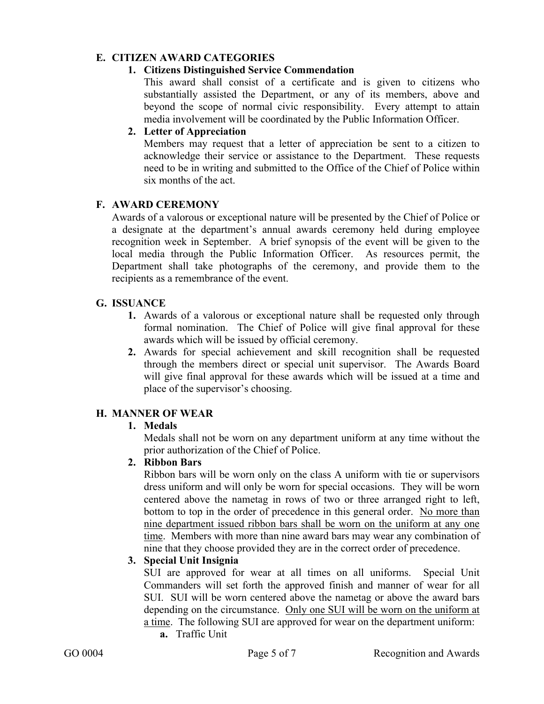# **E. CITIZEN AWARD CATEGORIES**

#### **1. Citizens Distinguished Service Commendation**

This award shall consist of a certificate and is given to citizens who substantially assisted the Department, or any of its members, above and beyond the scope of normal civic responsibility. Every attempt to attain media involvement will be coordinated by the Public Information Officer.

#### **2. Letter of Appreciation**

Members may request that a letter of appreciation be sent to a citizen to acknowledge their service or assistance to the Department. These requests need to be in writing and submitted to the Office of the Chief of Police within six months of the act.

#### **F. AWARD CEREMONY**

Awards of a valorous or exceptional nature will be presented by the Chief of Police or a designate at the department's annual awards ceremony held during employee recognition week in September. A brief synopsis of the event will be given to the local media through the Public Information Officer. As resources permit, the Department shall take photographs of the ceremony, and provide them to the recipients as a remembrance of the event.

#### **G. ISSUANCE**

- **1.** Awards of a valorous or exceptional nature shall be requested only through formal nomination. The Chief of Police will give final approval for these awards which will be issued by official ceremony.
- **2.** Awards for special achievement and skill recognition shall be requested through the members direct or special unit supervisor. The Awards Board will give final approval for these awards which will be issued at a time and place of the supervisor's choosing.

#### **H. MANNER OF WEAR**

#### **1. Medals**

Medals shall not be worn on any department uniform at any time without the prior authorization of the Chief of Police.

#### **2. Ribbon Bars**

Ribbon bars will be worn only on the class A uniform with tie or supervisors dress uniform and will only be worn for special occasions. They will be worn centered above the nametag in rows of two or three arranged right to left, bottom to top in the order of precedence in this general order. No more than nine department issued ribbon bars shall be worn on the uniform at any one time. Members with more than nine award bars may wear any combination of nine that they choose provided they are in the correct order of precedence.

#### **3. Special Unit Insignia**

SUI are approved for wear at all times on all uniforms. Special Unit Commanders will set forth the approved finish and manner of wear for all SUI. SUI will be worn centered above the nametag or above the award bars depending on the circumstance. Only one SUI will be worn on the uniform at a time. The following SUI are approved for wear on the department uniform:

**a.** Traffic Unit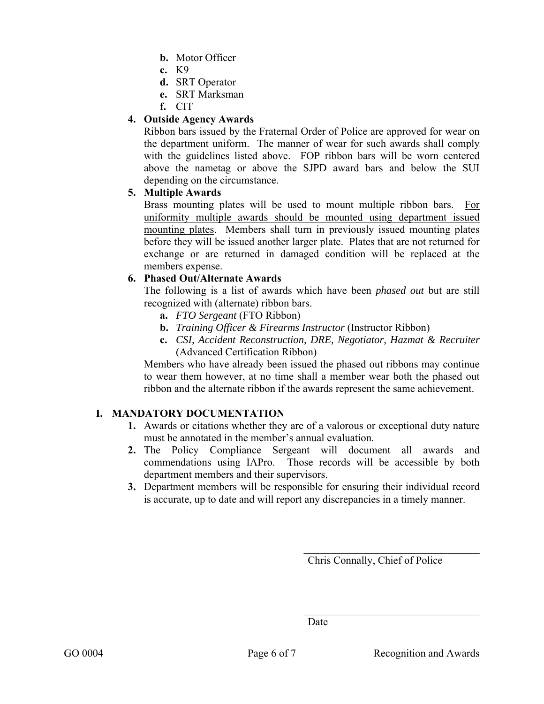- **b.** Motor Officer
- **c.** K9
- **d.** SRT Operator
- **e.** SRT Marksman
- **f.** CIT

## **4. Outside Agency Awards**

Ribbon bars issued by the Fraternal Order of Police are approved for wear on the department uniform. The manner of wear for such awards shall comply with the guidelines listed above. FOP ribbon bars will be worn centered above the nametag or above the SJPD award bars and below the SUI depending on the circumstance.

#### **5. Multiple Awards**

Brass mounting plates will be used to mount multiple ribbon bars. For uniformity multiple awards should be mounted using department issued mounting plates. Members shall turn in previously issued mounting plates before they will be issued another larger plate. Plates that are not returned for exchange or are returned in damaged condition will be replaced at the members expense.

#### **6. Phased Out/Alternate Awards**

The following is a list of awards which have been *phased out* but are still recognized with (alternate) ribbon bars.

- **a.** *FTO Sergeant* (FTO Ribbon)
- **b.** *Training Officer & Firearms Instructor* (Instructor Ribbon)
- **c.** *CSI, Accident Reconstruction, DRE, Negotiator, Hazmat & Recruiter* (Advanced Certification Ribbon)

Members who have already been issued the phased out ribbons may continue to wear them however, at no time shall a member wear both the phased out ribbon and the alternate ribbon if the awards represent the same achievement.

# **I. MANDATORY DOCUMENTATION**

- **1.** Awards or citations whether they are of a valorous or exceptional duty nature must be annotated in the member's annual evaluation.
- **2.** The Policy Compliance Sergeant will document all awards and commendations using IAPro. Those records will be accessible by both department members and their supervisors.
- **3.** Department members will be responsible for ensuring their individual record is accurate, up to date and will report any discrepancies in a timely manner.

Chris Connally, Chief of Police

Date